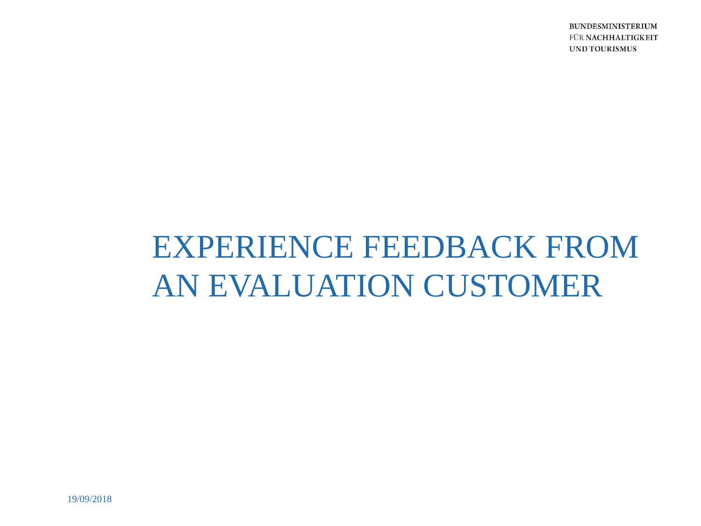**BUNDESMINISTERIUM** FÜR NACHHALTIGKEIT **UND TOURISMUS** 

# EXPERIENCE FEEDBACK FROM AN EVALUATION CUSTOMER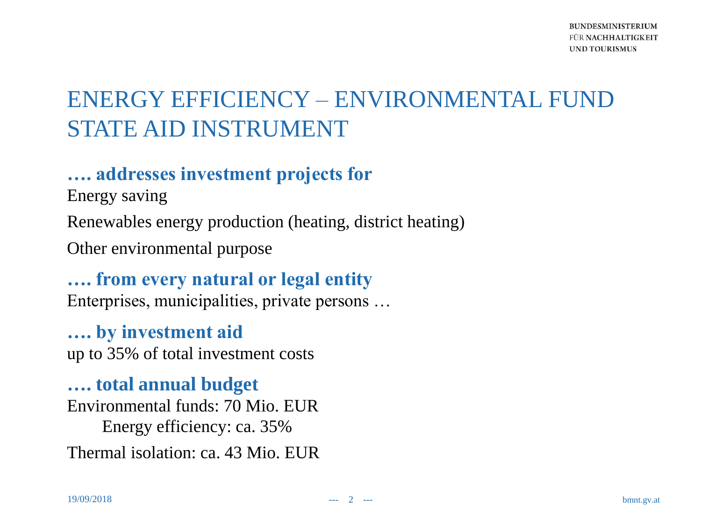## ENERGY EFFICIENCY – ENVIRONMENTAL FUND STATE AID INSTRUMENT

#### **…. addresses investment projects for**

Energy saving

Renewables energy production (heating, district heating)

Other environmental purpose

**…. from every natural or legal entity** Enterprises, municipalities, private persons …

**…. by investment aid**  up to 35% of total investment costs

**…. total annual budget** Environmental funds: 70 Mio. EUR Energy efficiency: ca. 35% Thermal isolation: ca. 43 Mio. EUR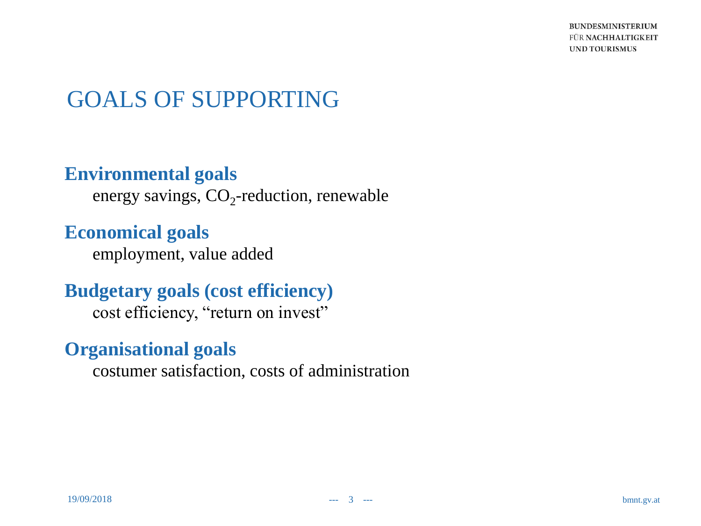**BUNDESMINISTERIUM** FÜR NACHHALTIGKEIT **UND TOURISMUS** 

## GOALS OF SUPPORTING

#### **Environmental goals**

energy savings,  $CO_2$ -reduction, renewable

**Economical goals**

employment, value added

**Budgetary goals (cost efficiency)** cost efficiency, "return on invest"

#### **Organisational goals**

costumer satisfaction, costs of administration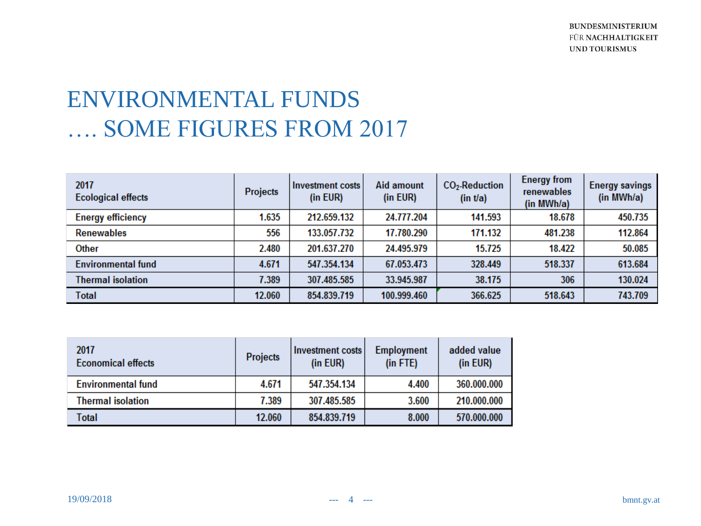## ENVIRONMENTAL FUNDS …. SOME FIGURES FROM 2017

| 2017<br><b>Ecological effects</b> | Projects | Investment costs<br>(in EUR) | <b>Aid amount</b><br>(in EUR) | $CO2$ -Reduction<br>(in t/a) | <b>Energy from</b><br>renewables<br>(in MWh/a) | <b>Energy savings</b><br>(in MWh/a) |
|-----------------------------------|----------|------------------------------|-------------------------------|------------------------------|------------------------------------------------|-------------------------------------|
| <b>Energy efficiency</b>          | 1.635    | 212.659.132                  | 24.777.204                    | 141.593                      | 18.678                                         | 450.735                             |
| <b>Renewables</b>                 | 556      | 133.057.732                  | 17.780.290                    | 171.132                      | 481.238                                        | 112.864                             |
| <b>Other</b>                      | 2.480    | 201.637.270                  | 24.495.979                    | 15.725                       | 18.422                                         | 50.085                              |
| <b>Environmental fund</b>         | 4.671    | 547.354.134                  | 67.053.473                    | 328.449                      | 518.337                                        | 613.684                             |
| <b>Thermal isolation</b>          | 7.389    | 307.485.585                  | 33.945.987                    | 38.175                       | 306                                            | 130.024                             |
| <b>Total</b>                      | 12.060   | 854.839.719                  | 100.999.460                   | 366.625                      | 518.643                                        | 743.709                             |

| 2017<br><b>Economical effects</b> | <b>Projects</b> | Investment costs<br>(in EUR) | <b>Employment</b><br>$(in$ FTE $)$ | added value<br>(in EUR) |
|-----------------------------------|-----------------|------------------------------|------------------------------------|-------------------------|
| <b>Environmental fund</b>         | 4.671           | 547.354.134                  | 4.400                              | 360.000.000             |
| <b>Thermal isolation</b>          | 7.389           | 307.485.585                  | 3.600                              | 210.000.000             |
| Total                             | 12.060          | 854.839.719                  | 8.000                              | 570.000.000             |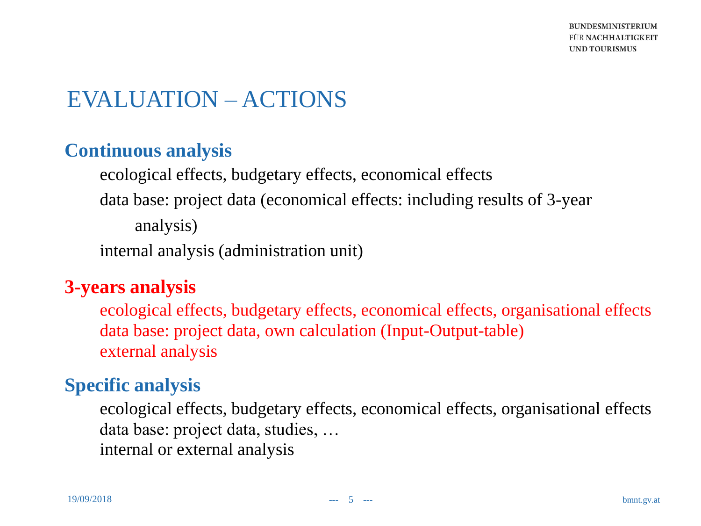## EVALUATION – ACTIONS

#### **Continuous analysis**

ecological effects, budgetary effects, economical effects data base: project data (economical effects: including results of 3-year analysis)

internal analysis (administration unit)

#### **3-years analysis**

ecological effects, budgetary effects, economical effects, organisational effects data base: project data, own calculation (Input-Output-table) external analysis

#### **Specific analysis**

ecological effects, budgetary effects, economical effects, organisational effects data base: project data, studies, … internal or external analysis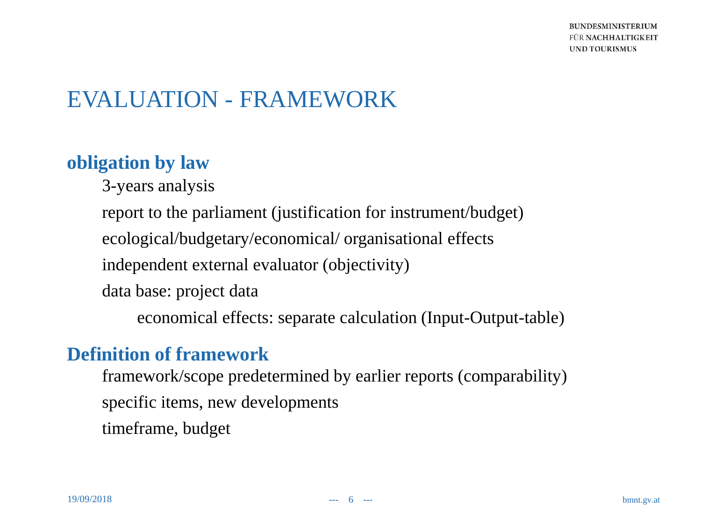## EVALUATION - FRAMEWORK

#### **obligation by law**

3-years analysis

report to the parliament (justification for instrument/budget)

ecological/budgetary/economical/ organisational effects

independent external evaluator (objectivity)

data base: project data

economical effects: separate calculation (Input-Output-table)

#### **Definition of framework**

framework/scope predetermined by earlier reports (comparability) specific items, new developments timeframe, budget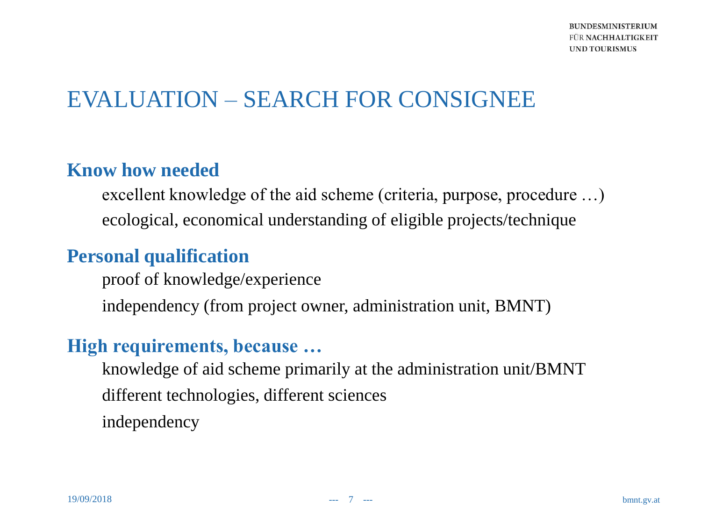## EVALUATION – SEARCH FOR CONSIGNEE

#### **Know how needed**

excellent knowledge of the aid scheme (criteria, purpose, procedure …) ecological, economical understanding of eligible projects/technique

#### **Personal qualification**

proof of knowledge/experience independency (from project owner, administration unit, BMNT)

#### **High requirements, because …**

knowledge of aid scheme primarily at the administration unit/BMNT different technologies, different sciences independency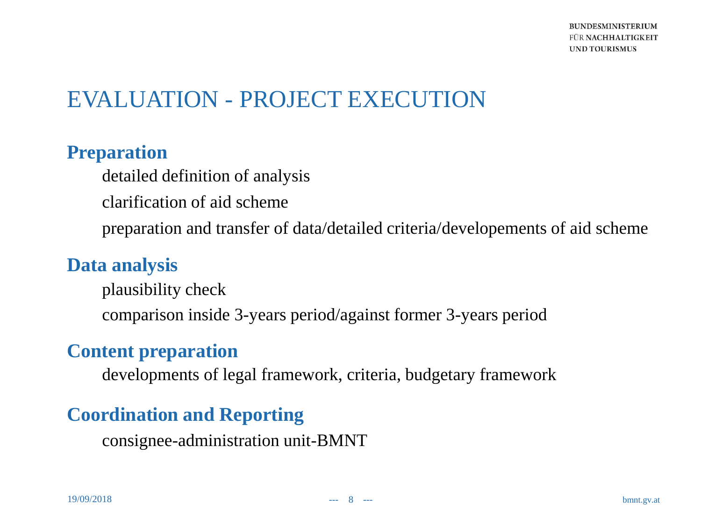## EVALUATION - PROJECT EXECUTION

#### **Preparation**

detailed definition of analysis clarification of aid scheme preparation and transfer of data/detailed criteria/developements of aid scheme

#### **Data analysis**

plausibility check comparison inside 3-years period/against former 3-years period

#### **Content preparation**

developments of legal framework, criteria, budgetary framework

#### **Coordination and Reporting**

consignee-administration unit-BMNT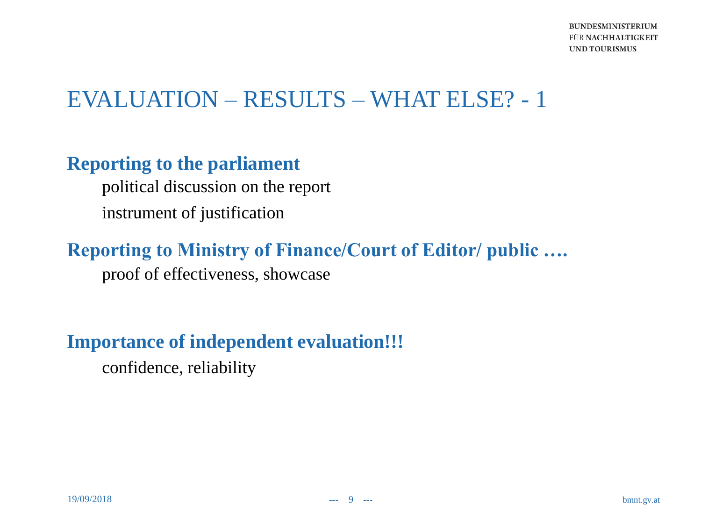## EVALUATION – RESULTS – WHAT ELSE? - 1

#### **Reporting to the parliament**

political discussion on the report instrument of justification

## **Reporting to Ministry of Finance/Court of Editor/ public ….**

proof of effectiveness, showcase

#### **Importance of independent evaluation!!!**

confidence, reliability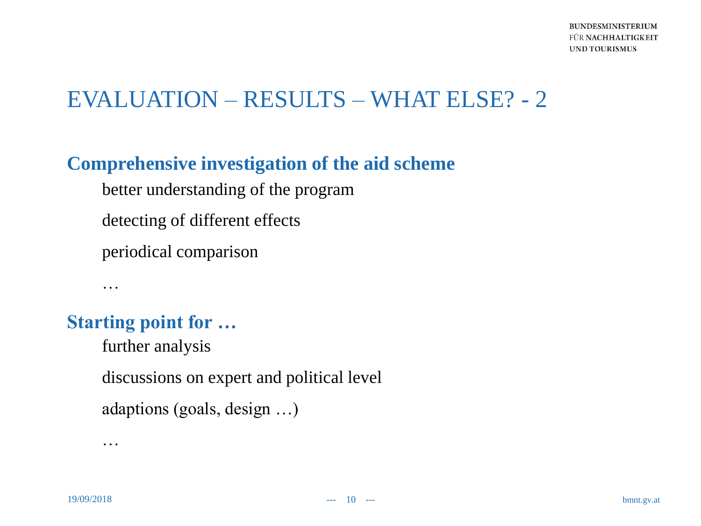## EVALUATION – RESULTS – WHAT ELSE? - 2

#### **Comprehensive investigation of the aid scheme**

better understanding of the program

detecting of different effects

periodical comparison

#### **Starting point for …**

…

further analysis

discussions on expert and political level

adaptions (goals, design …)

…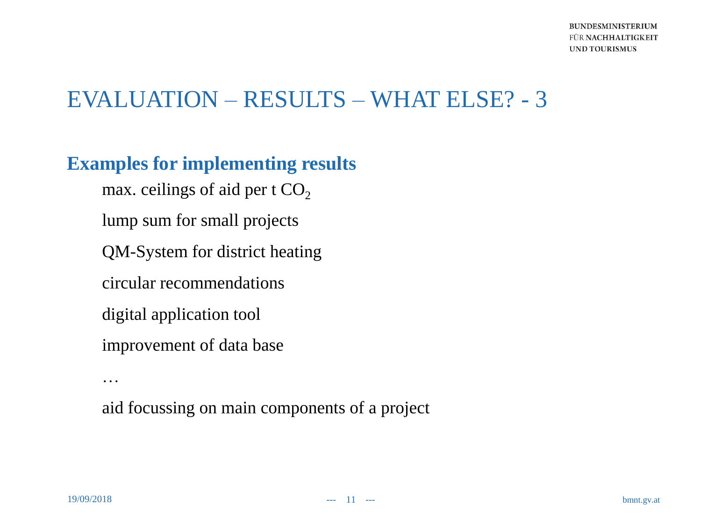## EVALUATION – RESULTS – WHAT ELSE? - 3

#### **Examples for implementing results**

max. ceilings of aid per t  $CO<sub>2</sub>$ lump sum for small projects QM-System for district heating circular recommendations digital application tool improvement of data base

aid focussing on main components of a project

…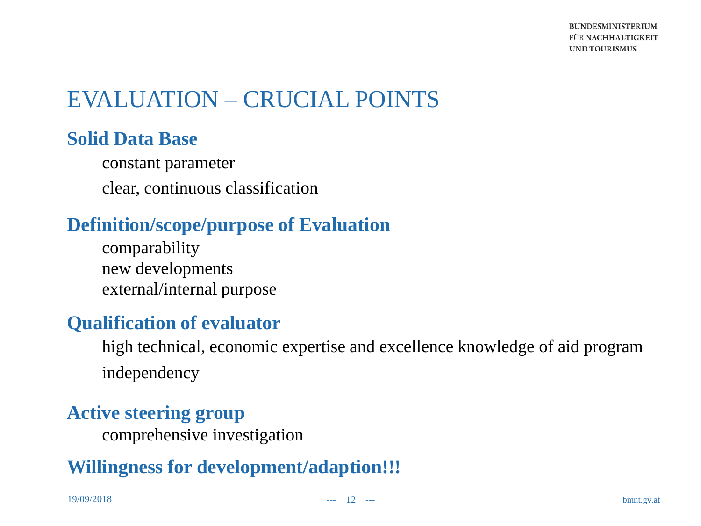## EVALUATION – CRUCIAL POINTS

#### **Solid Data Base**

constant parameter clear, continuous classification

#### **Definition/scope/purpose of Evaluation**

comparability new developments external/internal purpose

#### **Qualification of evaluator**

high technical, economic expertise and excellence knowledge of aid program independency

#### **Active steering group**

comprehensive investigation

#### **Willingness for development/adaption!!!**